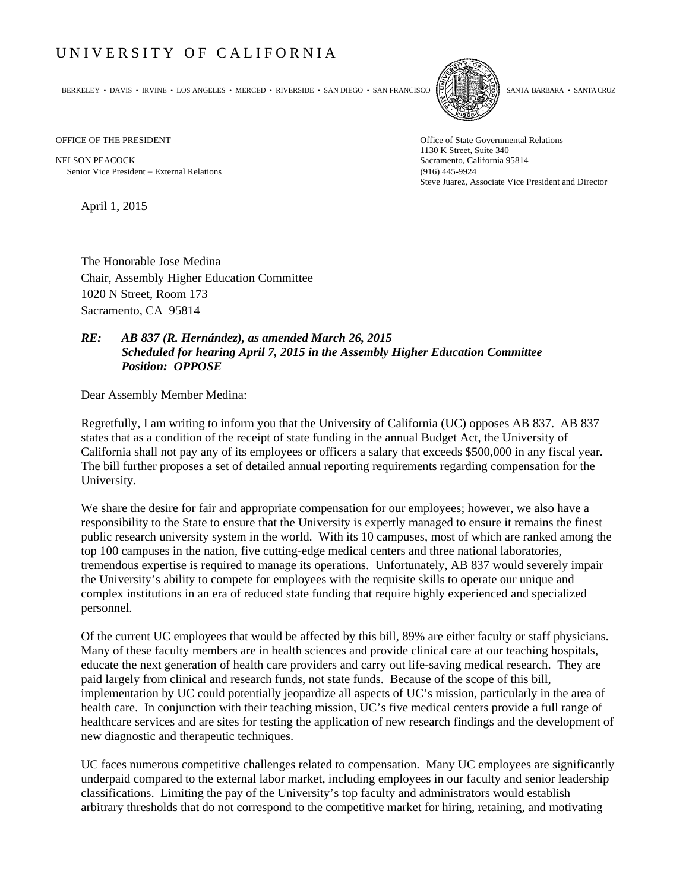## UNIVERSITY OF CALIFORNIA

BERKELEY • DAVIS • IRVINE • LOS ANGELES • MERCED • RIVERSIDE • SAN DIEGO • SAN FRANCISCO SANTA BARBARA • SANTA CRUZ



1130 K Street, Suite 340 Steve Juarez, Associate Vice President and Director

OFFICE OF THE PRESIDENT STATES OF THE PRESIDENT

NELSON PEACOCK Sacramento, California 95814 Senior Vice President External Relations (916) 445-9924

April 1, 2015

The Honorable Jose Medina Chair, Assembly Higher Education Committee 1020 N Street, Room 173 Sacramento, CA 95814

## *RE: AB 837 (R. Hernández), as amended March 26, 2015 Scheduled for hearing April 7, 2015 in the Assembly Higher Education Committee Position: OPPOSE*

Dear Assembly Member Medina:

Regretfully, I am writing to inform you that the University of California (UC) opposes AB 837. AB 837 states that as a condition of the receipt of state funding in the annual Budget Act, the University of California shall not pay any of its employees or officers a salary that exceeds \$500,000 in any fiscal year. The bill further proposes a set of detailed annual reporting requirements regarding compensation for the University.

We share the desire for fair and appropriate compensation for our employees; however, we also have a responsibility to the State to ensure that the University is expertly managed to ensure it remains the finest public research university system in the world. With its 10 campuses, most of which are ranked among the top 100 campuses in the nation, five cutting-edge medical centers and three national laboratories, tremendous expertise is required to manage its operations. Unfortunately, AB 837 would severely impair the University's ability to compete for employees with the requisite skills to operate our unique and complex institutions in an era of reduced state funding that require highly experienced and specialized personnel.

Of the current UC employees that would be affected by this bill, 89% are either faculty or staff physicians. Many of these faculty members are in health sciences and provide clinical care at our teaching hospitals, educate the next generation of health care providers and carry out life-saving medical research. They are paid largely from clinical and research funds, not state funds. Because of the scope of this bill, implementation by UC could potentially jeopardize all aspects of UC's mission, particularly in the area of health care. In conjunction with their teaching mission, UC's five medical centers provide a full range of healthcare services and are sites for testing the application of new research findings and the development of new diagnostic and therapeutic techniques.

UC faces numerous competitive challenges related to compensation. Many UC employees are significantly underpaid compared to the external labor market, including employees in our faculty and senior leadership classifications. Limiting the pay of the University's top faculty and administrators would establish arbitrary thresholds that do not correspond to the competitive market for hiring, retaining, and motivating